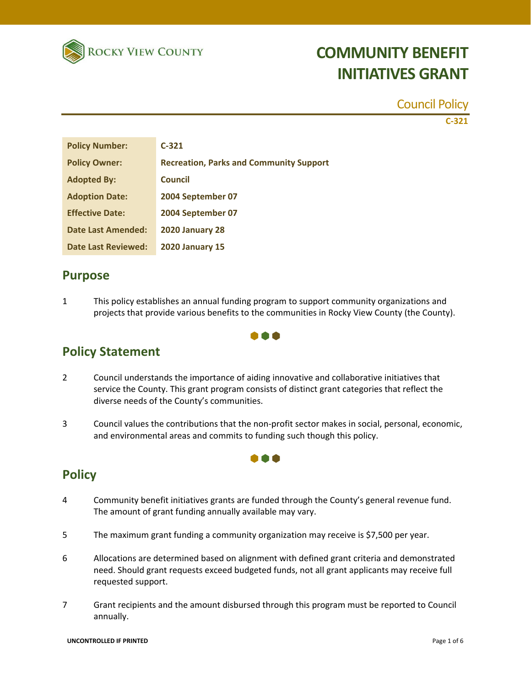

#### Council Policy

**C-321**

| <b>Policy Number:</b>      | $C-321$                                        |
|----------------------------|------------------------------------------------|
| <b>Policy Owner:</b>       | <b>Recreation, Parks and Community Support</b> |
| <b>Adopted By:</b>         | <b>Council</b>                                 |
| <b>Adoption Date:</b>      | 2004 September 07                              |
| <b>Effective Date:</b>     | 2004 September 07                              |
| Date Last Amended:         | <b>2020 January 28</b>                         |
| <b>Date Last Reviewed:</b> | <b>2020 January 15</b>                         |

### **Purpose**

1 This policy establishes an annual funding program to support community organizations and projects that provide various benefits to the communities in Rocky View County (the County).

### **Policy Statement**

- 2 Council understands the importance of aiding innovative and collaborative initiatives that service the County. This grant program consists of distinct grant categories that reflect the diverse needs of the County's communities.
- 3 Council values the contributions that the non-profit sector makes in social, personal, economic, and environmental areas and commits to funding such though this policy.

**TO A** 

### **Policy**

- 4 Community benefit initiatives grants are funded through the County's general revenue fund. The amount of grant funding annually available may vary.
- 5 The maximum grant funding a community organization may receive is \$7,500 per year.
- 6 Allocations are determined based on alignment with defined grant criteria and demonstrated need. Should grant requests exceed budgeted funds, not all grant applicants may receive full requested support.
- 7 Grant recipients and the amount disbursed through this program must be reported to Council annually.

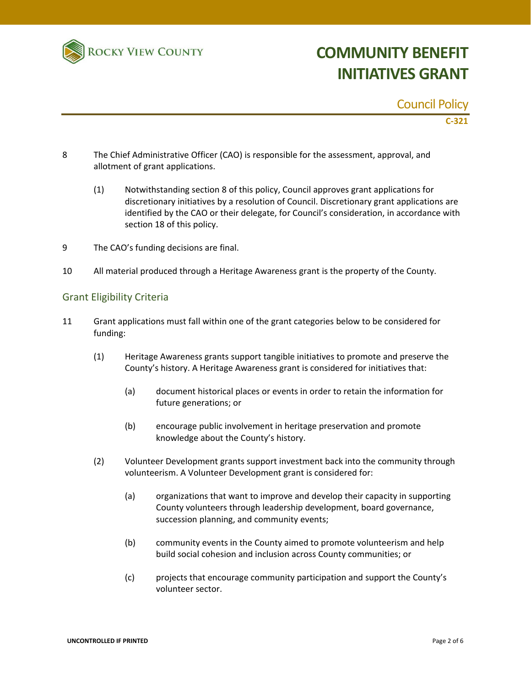

#### Council Policy

**C-321**

- 8 The Chief Administrative Officer (CAO) is responsible for the assessment, approval, and allotment of grant applications.
	- (1) Notwithstanding section 8 of this policy, Council approves grant applications for discretionary initiatives by a resolution of Council. Discretionary grant applications are identified by the CAO or their delegate, for Council's consideration, in accordance with section 18 of this policy.
- 9 The CAO's funding decisions are final.
- 10 All material produced through a Heritage Awareness grant is the property of the County.

#### Grant Eligibility Criteria

- 11 Grant applications must fall within one of the grant categories below to be considered for funding:
	- (1) Heritage Awareness grants support tangible initiatives to promote and preserve the County's history. A Heritage Awareness grant is considered for initiatives that:
		- (a) document historical places or events in order to retain the information for future generations; or
		- (b) encourage public involvement in heritage preservation and promote knowledge about the County's history.
	- (2) Volunteer Development grants support investment back into the community through volunteerism. A Volunteer Development grant is considered for:
		- (a) organizations that want to improve and develop their capacity in supporting County volunteers through leadership development, board governance, succession planning, and community events;
		- (b) community events in the County aimed to promote volunteerism and help build social cohesion and inclusion across County communities; or
		- (c) projects that encourage community participation and support the County's volunteer sector.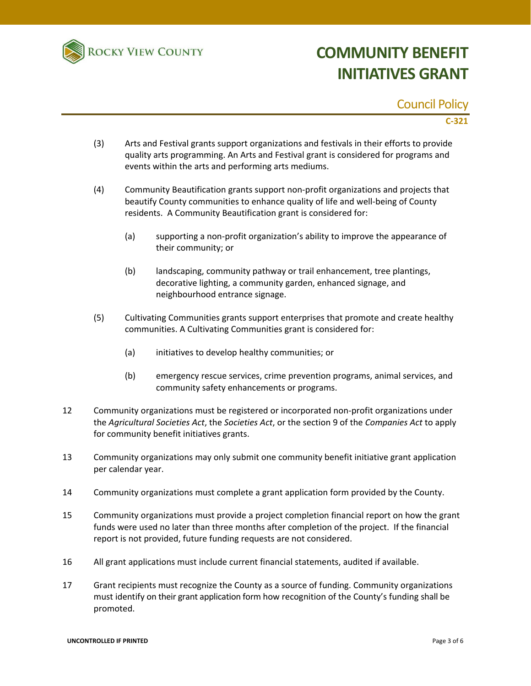

#### Council Policy

**C-321**

- (3) Arts and Festival grants support organizations and festivals in their efforts to provide quality arts programming. An Arts and Festival grant is considered for programs and events within the arts and performing arts mediums.
- (4) Community Beautification grants support non-profit organizations and projects that beautify County communities to enhance quality of life and well-being of County residents. A Community Beautification grant is considered for:
	- (a) supporting a non-profit organization's ability to improve the appearance of their community; or
	- (b) landscaping, community pathway or trail enhancement, tree plantings, decorative lighting, a community garden, enhanced signage, and neighbourhood entrance signage.
- (5) Cultivating Communities grants support enterprises that promote and create healthy communities. A Cultivating Communities grant is considered for:
	- (a) initiatives to develop healthy communities; or
	- (b) emergency rescue services, crime prevention programs, animal services, and community safety enhancements or programs.
- 12 Community organizations must be registered or incorporated non-profit organizations under the *Agricultural Societies Act*, the *Societies Act*, or the section 9 of the *Companies Act* to apply for community benefit initiatives grants.
- 13 Community organizations may only submit one community benefit initiative grant application per calendar year.
- 14 Community organizations must complete a grant application form provided by the County.
- 15 Community organizations must provide a project completion financial report on how the grant funds were used no later than three months after completion of the project. If the financial report is not provided, future funding requests are not considered.
- 16 All grant applications must include current financial statements, audited if available.
- 17 Grant recipients must recognize the County as a source of funding. Community organizations must identify on their grant application form how recognition of the County's funding shall be promoted.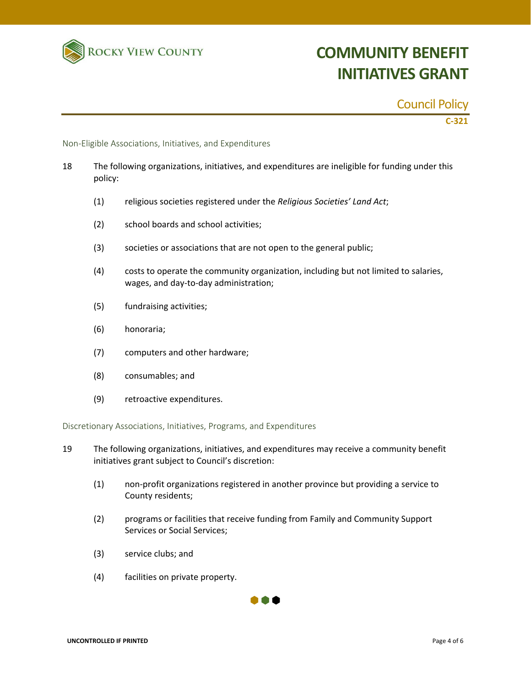

### Council Policy

**C-321**

Non-Eligible Associations, Initiatives, and Expenditures

- 18 The following organizations, initiatives, and expenditures are ineligible for funding under this policy:
	- (1) religious societies registered under the *Religious Societies' Land Act*;
	- (2) school boards and school activities;
	- (3) societies or associations that are not open to the general public;
	- (4) costs to operate the community organization, including but not limited to salaries, wages, and day-to-day administration;
	- (5) fundraising activities;
	- (6) honoraria;
	- (7) computers and other hardware;
	- (8) consumables; and
	- (9) retroactive expenditures.

Discretionary Associations, Initiatives, Programs, and Expenditures

- 19 The following organizations, initiatives, and expenditures may receive a community benefit initiatives grant subject to Council's discretion:
	- (1) non-profit organizations registered in another province but providing a service to County residents;
	- (2) programs or facilities that receive funding from Family and Community Support Services or Social Services;
	- (3) service clubs; and
	- (4) facilities on private property.

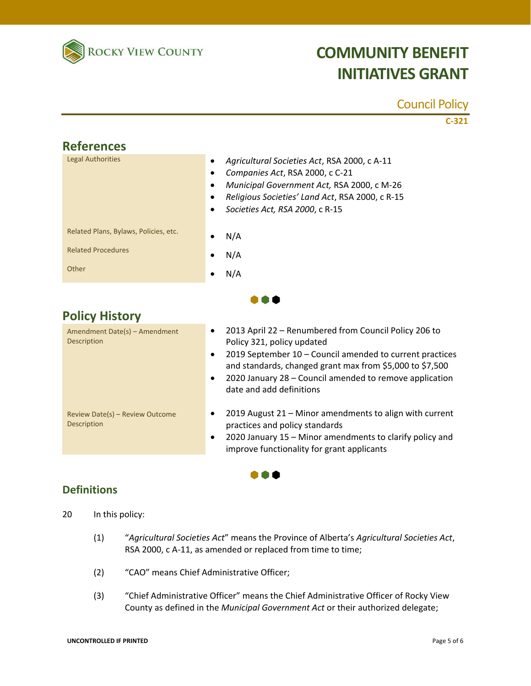

### Council Policy

**C-321**

| <b>References</b>                     |                                                                                                                                                                                                                                                                              |  |
|---------------------------------------|------------------------------------------------------------------------------------------------------------------------------------------------------------------------------------------------------------------------------------------------------------------------------|--|
| <b>Legal Authorities</b>              | Agricultural Societies Act, RSA 2000, c A-11<br>$\bullet$<br>Companies Act, RSA 2000, c C-21<br>$\bullet$<br>Municipal Government Act, RSA 2000, c M-26<br>$\bullet$<br>Religious Societies' Land Act, RSA 2000, c R-15<br>$\bullet$<br>Societies Act, RSA 2000, c R-15<br>٠ |  |
| Related Plans, Bylaws, Policies, etc. | N/A                                                                                                                                                                                                                                                                          |  |
| <b>Related Procedures</b>             | N/A<br>٠                                                                                                                                                                                                                                                                     |  |
| Other                                 | N/A<br>٠                                                                                                                                                                                                                                                                     |  |
|                                       |                                                                                                                                                                                                                                                                              |  |

### **Policy History**

| Amendment Date(s) - Amendment<br>Description   | 2013 April 22 - Renumbered from Council Policy 206 to<br>$\bullet$<br>Policy 321, policy updated<br>2019 September 10 - Council amended to current practices<br>$\bullet$<br>and standards, changed grant max from \$5,000 to \$7,500<br>2020 January 28 – Council amended to remove application<br>$\bullet$<br>date and add definitions |
|------------------------------------------------|-------------------------------------------------------------------------------------------------------------------------------------------------------------------------------------------------------------------------------------------------------------------------------------------------------------------------------------------|
| Review Date(s) - Review Outcome<br>Description | 2019 August 21 - Minor amendments to align with current<br>٠<br>practices and policy standards<br>2020 January 15 - Minor amendments to clarify policy and<br>٠<br>improve functionality for grant applicants                                                                                                                             |

i Air

### **Definitions**

- 20 In this policy:
	- (1) "*Agricultural Societies Act*" means the Province of Alberta's *Agricultural Societies Act*, RSA 2000, c A-11, as amended or replaced from time to time;
	- (2) "CAO" means Chief Administrative Officer;
	- (3) "Chief Administrative Officer" means the Chief Administrative Officer of Rocky View County as defined in the *Municipal Government Act* or their authorized delegate;